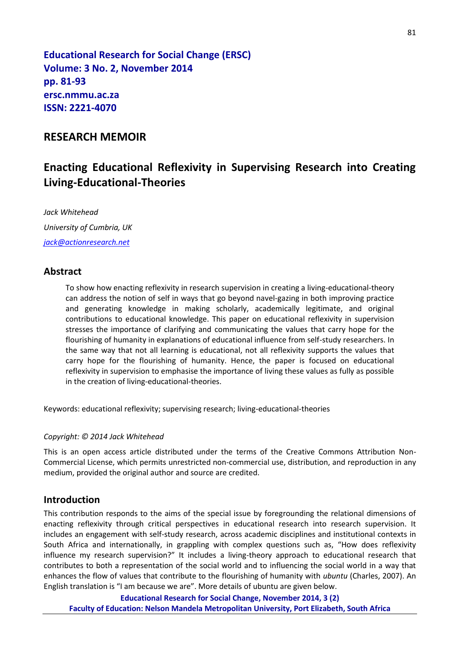**Educational Research for Social Change (ERSC) Volume: 3 No. 2, November 2014 pp. 81-93 ersc.nmmu.ac.za ISSN: 2221-4070**

## **RESEARCH MEMOIR**

# **Enacting Educational Reflexivity in Supervising Research into Creating Living-Educational-Theories**

*Jack Whitehead University of Cumbria, UK [jack@actionresearch.net](mailto:jack@actionresearch.net)*

### **Abstract**

To show how enacting reflexivity in research supervision in creating a living-educational-theory can address the notion of self in ways that go beyond navel-gazing in both improving practice and generating knowledge in making scholarly, academically legitimate, and original contributions to educational knowledge. This paper on educational reflexivity in supervision stresses the importance of clarifying and communicating the values that carry hope for the flourishing of humanity in explanations of educational influence from self-study researchers. In the same way that not all learning is educational, not all reflexivity supports the values that carry hope for the flourishing of humanity. Hence, the paper is focused on educational reflexivity in supervision to emphasise the importance of living these values as fully as possible in the creation of living-educational-theories.

Keywords: educational reflexivity; supervising research; living-educational-theories

#### *Copyright: © 2014 Jack Whitehead*

This is an open access article distributed under the terms of the Creative Commons Attribution Non-Commercial License, which permits unrestricted non-commercial use, distribution, and reproduction in any medium, provided the original author and source are credited.

### **Introduction**

This contribution responds to the aims of the special issue by foregrounding the relational dimensions of enacting reflexivity through critical perspectives in educational research into research supervision. It includes an engagement with self-study research, across academic disciplines and institutional contexts in South Africa and internationally, in grappling with complex questions such as, "How does reflexivity influence my research supervision?" It includes a living-theory approach to educational research that contributes to both a representation of the social world and to influencing the social world in a way that enhances the flow of values that contribute to the flourishing of humanity with *ubuntu* (Charles, 2007). An English translation is "I am because we are". More details of ubuntu are given below.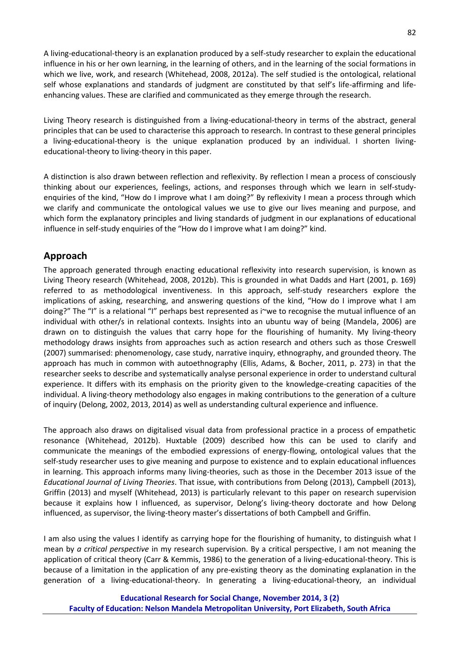A living-educational-theory is an explanation produced by a self-study researcher to explain the educational influence in his or her own learning, in the learning of others, and in the learning of the social formations in which we live, work, and research (Whitehead, 2008, 2012a). The self studied is the ontological, relational self whose explanations and standards of judgment are constituted by that self's life-affirming and lifeenhancing values. These are clarified and communicated as they emerge through the research.

Living Theory research is distinguished from a living-educational-theory in terms of the abstract, general principles that can be used to characterise this approach to research. In contrast to these general principles a living-educational-theory is the unique explanation produced by an individual. I shorten livingeducational-theory to living-theory in this paper.

A distinction is also drawn between reflection and reflexivity. By reflection I mean a process of consciously thinking about our experiences, feelings, actions, and responses through which we learn in self-study enquiries of the kind, "How do I improve what I am doing?" By reflexivity I mean a process through which we clarify and communicate the ontological values we use to give our lives meaning and purpose, and which form the explanatory principles and living standards of judgment in our explanations of educational influence in self-study enquiries of the "How do I improve what I am doing?" kind.

# **Approach**

The approach generated through enacting educational reflexivity into research supervision, is known as Living Theory research (Whitehead, 2008, 2012b). This is grounded in what Dadds and Hart (2001, p. 169) referred to as methodological inventiveness. In this approach, self-study researchers explore the implications of asking, researching, and answering questions of the kind, "How do I improve what I am doing?" The "I" is a relational "I" perhaps best represented as i~we to recognise the mutual influence of an individual with other/s in relational contexts. Insights into an ubuntu way of being (Mandela, 2006) are drawn on to distinguish the values that carry hope for the flourishing of humanity. My living-theory methodology draws insights from approaches such as action research and others such as those Creswell (2007) summarised: phenomenology, case study, narrative inquiry, ethnography, and grounded theory. The approach has much in common with autoethnography (Ellis, Adams, & Bocher, 2011, p. 273) in that the researcher seeks to describe and systematically analyse personal experience in order to understand cultural experience. It differs with its emphasis on the priority given to the knowledge-creating capacities of the individual. A living-theory methodology also engages in making contributions to the generation of a culture of inquiry (Delong, 2002, 2013, 2014) as well as understanding cultural experience and influence.

The approach also draws on digitalised visual data from professional practice in a process of empathetic resonance (Whitehead, 2012b). Huxtable (2009) described how this can be used to clarify and communicate the meanings of the embodied expressions of energy-flowing, ontological values that the self-study researcher uses to give meaning and purpose to existence and to explain educational influences in learning. This approach informs many living-theories, such as those in the December 2013 issue of the *Educational Journal of Living Theories*. That issue, with contributions from Delong (2013), Campbell (2013), Griffin (2013) and myself (Whitehead, 2013) is particularly relevant to this paper on research supervision because it explains how I influenced, as supervisor, Delong's living-theory doctorate and how Delong influenced, as supervisor, the living-theory master's dissertations of both Campbell and Griffin.

I am also using the values I identify as carrying hope for the flourishing of humanity, to distinguish what I mean by *a critical perspective* in my research supervision. By a critical perspective, I am not meaning the application of critical theory (Carr & Kemmis, 1986) to the generation of a living-educational-theory. This is because of a limitation in the application of any pre-existing theory as the dominating explanation in the generation of a living-educational-theory. In generating a living-educational-theory, an individual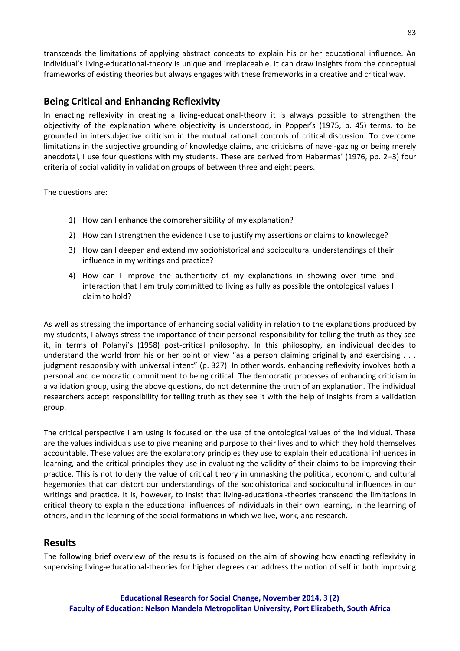transcends the limitations of applying abstract concepts to explain his or her educational influence. An individual's living-educational-theory is unique and irreplaceable. It can draw insights from the conceptual frameworks of existing theories but always engages with these frameworks in a creative and critical way.

# **Being Critical and Enhancing Reflexivity**

In enacting reflexivity in creating a living-educational-theory it is always possible to strengthen the objectivity of the explanation where objectivity is understood, in Popper's (1975, p. 45) terms, to be grounded in intersubjective criticism in the mutual rational controls of critical discussion. To overcome limitations in the subjective grounding of knowledge claims, and criticisms of navel-gazing or being merely anecdotal, I use four questions with my students. These are derived from Habermas' (1976, pp. 2-3) four criteria of social validity in validation groups of between three and eight peers.

The questions are:

- 1) How can I enhance the comprehensibility of my explanation?
- 2) How can I strengthen the evidence I use to justify my assertions or claims to knowledge?
- 3) How can I deepen and extend my sociohistorical and sociocultural understandings of their influence in my writings and practice?
- 4) How can I improve the authenticity of my explanations in showing over time and interaction that I am truly committed to living as fully as possible the ontological values I claim to hold?

As well as stressing the importance of enhancing social validity in relation to the explanations produced by my students, I always stress the importance of their personal responsibility for telling the truth as they see it, in terms of Polanyi's (1958) post-critical philosophy. In this philosophy, an individual decides to understand the world from his or her point of view "as a person claiming originality and exercising  $\dots$ judgment responsibly with universal intent" (p. 327). In other words, enhancing reflexivity involves both a personal and democratic commitment to being critical. The democratic processes of enhancing criticism in a validation group, using the above questions, do not determine the truth of an explanation. The individual researchers accept responsibility for telling truth as they see it with the help of insights from a validation group.

The critical perspective I am using is focused on the use of the ontological values of the individual. These are the values individuals use to give meaning and purpose to their lives and to which they hold themselves accountable. These values are the explanatory principles they use to explain their educational influences in learning, and the critical principles they use in evaluating the validity of their claims to be improving their practice. This is not to deny the value of critical theory in unmasking the political, economic, and cultural hegemonies that can distort our understandings of the sociohistorical and sociocultural influences in our writings and practice. It is, however, to insist that living-educational-theories transcend the limitations in critical theory to explain the educational influences of individuals in their own learning, in the learning of others, and in the learning of the social formations in which we live, work, and research.

### **Results**

The following brief overview of the results is focused on the aim of showing how enacting reflexivity in supervising living-educational-theories for higher degrees can address the notion of self in both improving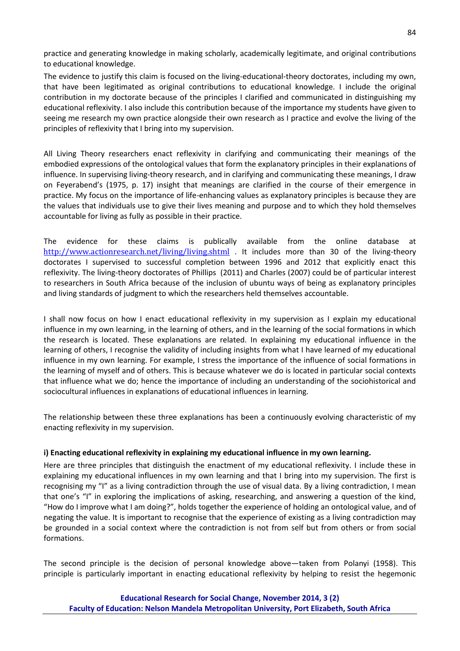practice and generating knowledge in making scholarly, academically legitimate, and original contributions to educational knowledge.

The evidence to justify this claim is focused on the living-educational-theory doctorates, including my own, that have been legitimated as original contributions to educational knowledge. I include the original contribution in my doctorate because of the principles I clarified and communicated in distinguishing my educational reflexivity. I also include this contribution because of the importance my students have given to seeing me research my own practice alongside their own research as I practice and evolve the living of the principles of reflexivity that I bring into my supervision.

All Living Theory researchers enact reflexivity in clarifying and communicating their meanings of the embodied expressions of the ontological values that form the explanatory principles in their explanations of influence. In supervising living-theory research, and in clarifying and communicating these meanings, I draw on Feyerabend's (1975, p. 17) insight that meanings are clarified in the course of their emergence in practice. My focus on the importance of life-enhancing values as explanatory principles is because they are the values that individuals use to give their lives meaning and purpose and to which they hold themselves accountable for living as fully as possible in their practice.

The evidence for these claims is publically available from the online database at <http://www.actionresearch.net/living/living.shtml> . It includes more than 30 of the living-theory doctorates I supervised to successful completion between 1996 and 2012 that explicitly enact this reflexivity. The living-theory doctorates of Phillips (2011) and Charles (2007) could be of particular interest to researchers in South Africa because of the inclusion of ubuntu ways of being as explanatory principles and living standards of judgment to which the researchers held themselves accountable.

I shall now focus on how I enact educational reflexivity in my supervision as I explain my educational influence in my own learning, in the learning of others, and in the learning of the social formations in which the research is located. These explanations are related. In explaining my educational influence in the learning of others, I recognise the validity of including insights from what I have learned of my educational influence in my own learning. For example, I stress the importance of the influence of social formations in the learning of myself and of others. This is because whatever we do is located in particular social contexts that influence what we do; hence the importance of including an understanding of the sociohistorical and sociocultural influences in explanations of educational influences in learning.

The relationship between these three explanations has been a continuously evolving characteristic of my enacting reflexivity in my supervision.

#### **i) Enacting educational reflexivity in explaining my educational influence in my own learning.**

Here are three principles that distinguish the enactment of my educational reflexivity. I include these in explaining my educational influences in my own learning and that I bring into my supervision. The first is recognising my "I" as a living contradiction through the use of visual data. By a living contradiction, I mean that one's "I" in exploring the implications of asking, researching, and answering a question of the kind, "How do I improve what I am doing?", holds together the experience of holding an ontological value, and of negating the value. It is important to recognise that the experience of existing as a living contradiction may be grounded in a social context where the contradiction is not from self but from others or from social formations.

The second principle is the decision of personal knowledge above—taken from Polanyi (1958). This principle is particularly important in enacting educational reflexivity by helping to resist the hegemonic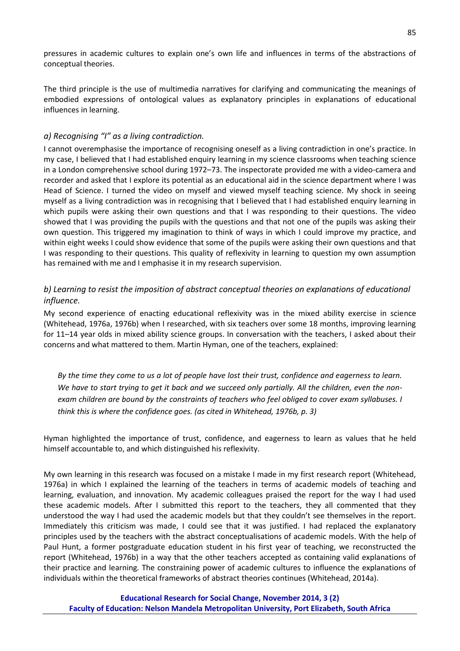pressures in academic cultures to explain one's own life and influences in terms of the abstractions of conceptual theories.

The third principle is the use of multimedia narratives for clarifying and communicating the meanings of embodied expressions of ontological values as explanatory principles in explanations of educational influences in learning.

#### *a) Recognising "I" as a living contradiction.*

I cannot overemphasise the importance of recognising oneself as a living contradiction in one's practice. In my case, I believed that I had established enquiry learning in my science classrooms when teaching science in a London comprehensive school during 1972–73. The inspectorate provided me with a video-camera and recorder and asked that I explore its potential as an educational aid in the science department where I was Head of Science. I turned the video on myself and viewed myself teaching science. My shock in seeing myself as a living contradiction was in recognising that I believed that I had established enquiry learning in which pupils were asking their own questions and that I was responding to their questions. The video showed that I was providing the pupils with the questions and that not one of the pupils was asking their own question. This triggered my imagination to think of ways in which I could improve my practice, and within eight weeks I could show evidence that some of the pupils were asking their own questions and that I was responding to their questions. This quality of reflexivity in learning to question my own assumption has remained with me and I emphasise it in my research supervision.

### *b) Learning to resist the imposition of abstract conceptual theories on explanations of educational influence.*

My second experience of enacting educational reflexivity was in the mixed ability exercise in science (Whitehead, 1976a, 1976b) when I researched, with six teachers over some 18 months, improving learning for 11–14 year olds in mixed ability science groups. In conversation with the teachers, I asked about their concerns and what mattered to them. Martin Hyman, one of the teachers, explained:

*By the time they come to us a lot of people have lost their trust, confidence and eagerness to learn. We have to start trying to get it back and we succeed only partially. All the children, even the nonexam children are bound by the constraints of teachers who feel obliged to cover exam syllabuses. I think this is where the confidence goes. (as cited in Whitehead, 1976b, p. 3)*

Hyman highlighted the importance of trust, confidence, and eagerness to learn as values that he held himself accountable to, and which distinguished his reflexivity.

My own learning in this research was focused on a mistake I made in my first research report (Whitehead, 1976a) in which I explained the learning of the teachers in terms of academic models of teaching and learning, evaluation, and innovation. My academic colleagues praised the report for the way I had used these academic models. After I submitted this report to the teachers, they all commented that they understood the way I had used the academic models but that they couldn't see themselves in the report. Immediately this criticism was made, I could see that it was justified. I had replaced the explanatory principles used by the teachers with the abstract conceptualisations of academic models. With the help of Paul Hunt, a former postgraduate education student in his first year of teaching, we reconstructed the report (Whitehead, 1976b) in a way that the other teachers accepted as containing valid explanations of their practice and learning. The constraining power of academic cultures to influence the explanations of individuals within the theoretical frameworks of abstract theories continues (Whitehead, 2014a).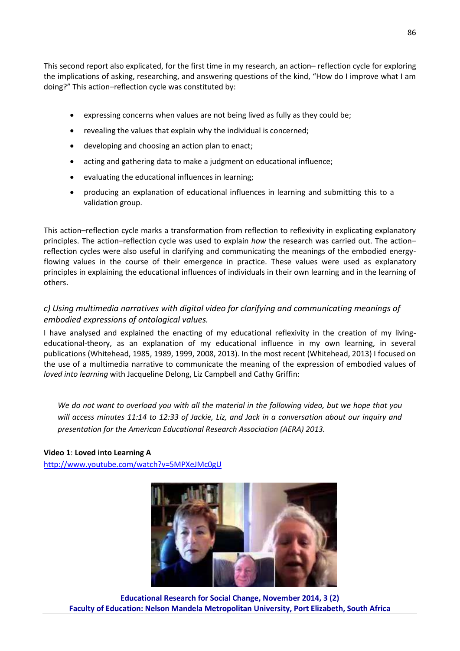This second report also explicated, for the first time in my research, an action– reflection cycle for exploring the implications of asking, researching, and answering questions of the kind, "How do I improve what I am doing?" This action-reflection cycle was constituted by:

- expressing concerns when values are not being lived as fully as they could be;
- revealing the values that explain why the individual is concerned;
- developing and choosing an action plan to enact;
- acting and gathering data to make a judgment on educational influence;
- evaluating the educational influences in learning;
- producing an explanation of educational influences in learning and submitting this to a validation group.

This action–reflection cycle marks a transformation from reflection to reflexivity in explicating explanatory principles. The action–reflection cycle was used to explain *how* the research was carried out. The action– reflection cycles were also useful in clarifying and communicating the meanings of the embodied energyflowing values in the course of their emergence in practice. These values were used as explanatory principles in explaining the educational influences of individuals in their own learning and in the learning of others.

### *c) Using multimedia narratives with digital video for clarifying and communicating meanings of embodied expressions of ontological values.*

I have analysed and explained the enacting of my educational reflexivity in the creation of my livingeducational-theory, as an explanation of my educational influence in my own learning, in several publications (Whitehead, 1985, 1989, 1999, 2008, 2013). In the most recent (Whitehead, 2013) I focused on the use of a multimedia narrative to communicate the meaning of the expression of embodied values of *loved into learning* with Jacqueline Delong, Liz Campbell and Cathy Griffin:

*We do not want to overload you with all the material in the following video, but we hope that you will access minutes 11:14 to 12:33 of Jackie, Liz, and Jack in a conversation about our inquiry and presentation for the American Educational Research Association (AERA) 2013.*

**Video 1**: **Loved into Learning A** <http://www.youtube.com/watch?v=5MPXeJMc0gU>



**Educational Research for Social Change, November 2014, 3 (2) Faculty of Education: Nelson Mandela Metropolitan University, Port Elizabeth, South Africa**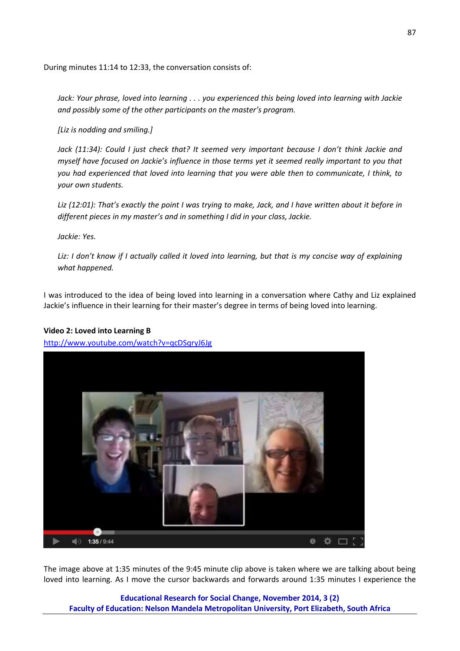During minutes 11:14 to 12:33, the conversation consists of:

*Jack: Your phrase, loved into learning . . . you experienced this being loved into learning with Jackie and possibly some of the other participants on the master's program.*

*[Liz is nodding and smiling.]*

Jack (11:34): Could I just check that? It seemed very important because I don't think Jackie and *myself have focused on Jackie's influence in those terms yet it seemed really important to you that you had experienced that loved into learning that you were able then to communicate, I think, to your own students.*

*Liz (12:01): That's exactly the point I was trying to make, Jack, and I have written about it before in different pieces in my master's and in something I did in your class, Jackie.*

*Jackie: Yes.*

*Liz: I don't know if I actually called it loved into learning, but that is my concise way of explaining what happened.*

I was introduced to the idea of being loved into learning in a conversation where Cathy and Liz explained Jackie's influence in their learning for their master's degree in terms of being loved into learning.

#### **Video 2: Loved into Learning B**

<http://www.youtube.com/watch?v=qcDSqryJ6Jg>



The image above at 1:35 minutes of the 9:45 minute clip above is taken where we are talking about being loved into learning. As I move the cursor backwards and forwards around 1:35 minutes I experience the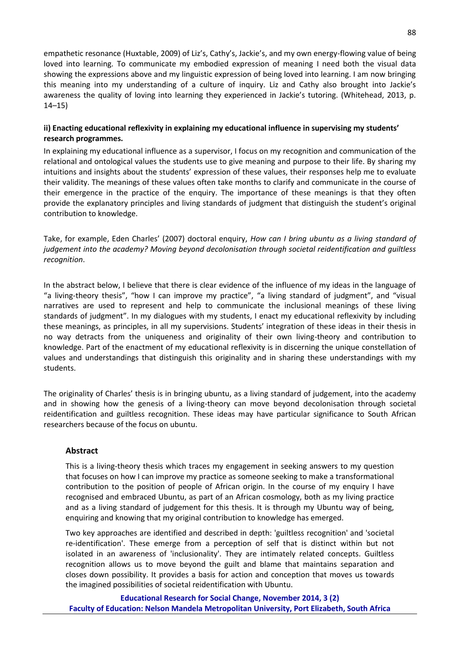empathetic resonance (Huxtable, 2009) of Liz's, Cathy's, Jackie's, and my own energy-flowing value of being loved into learning. To communicate my embodied expression of meaning I need both the visual data showing the expressions above and my linguistic expression of being loved into learning. I am now bringing this meaning into my understanding of a culture of inquiry. Liz and Cathy also brought into Jackie's awareness the quality of loving into learning they experienced in Jackie's tutoring. (Whitehead, 2013, p. 14–15)

#### ii) Enacting educational reflexivity in explaining my educational influence in supervising my students' **research programmes.**

In explaining my educational influence as a supervisor, I focus on my recognition and communication of the relational and ontological values the students use to give meaning and purpose to their life. By sharing my intuitions and insights about the students' expression of these values, their responses help me to evaluate their validity. The meanings of these values often take months to clarify and communicate in the course of their emergence in the practice of the enquiry. The importance of these meanings is that they often provide the explanatory principles and living standards of judgment that distinguish the student's original contribution to knowledge.

Take, for example, Eden Charles' (2007) doctoral enquiry, How can I bring ubuntu as a living standard of *judgement into the academy? Moving beyond decolonisation through societal reidentification and guiltless recognition*.

In the abstract below, I believe that there is clear evidence of the influence of my ideas in the language of " a living-theory thesis", "how I can improve my practice", "a living standard of judgment", and "visual narratives are used to represent and help to communicate the inclusional meanings of these living standards of judgment". In my dialogues with my students, I enact my educational reflexivity by including these meanings, as principles, in all my supervisions. Students' integration of these ideas in their thesis in no way detracts from the uniqueness and originality of their own living-theory and contribution to knowledge. Part of the enactment of my educational reflexivity is in discerning the unique constellation of values and understandings that distinguish this originality and in sharing these understandings with my students.

The originality of Charles' thesis is in bringing ubuntu, as a living standard of judgement, into the academy and in showing how the genesis of a living-theory can move beyond decolonisation through societal reidentification and guiltless recognition. These ideas may have particular significance to South African researchers because of the focus on ubuntu.

#### **Abstract**

This is a living-theory thesis which traces my engagement in seeking answers to my question that focuses on how I can improve my practice as someone seeking to make a transformational contribution to the position of people of African origin. In the course of my enquiry I have recognised and embraced Ubuntu, as part of an African cosmology, both as my living practice and as a living standard of judgement for this thesis. It is through my Ubuntu way of being, enquiring and knowing that my original contribution to knowledge has emerged.

Two key approaches are identified and described in depth: 'guiltless recognition' and 'societal re-identification'. These emerge from a perception of self that is distinct within but not isolated in an awareness of 'inclusionality'. They are intimately related concepts. Guiltless recognition allows us to move beyond the guilt and blame that maintains separation and closes down possibility. It provides a basis for action and conception that moves us towards the imagined possibilities of societal reidentification with Ubuntu.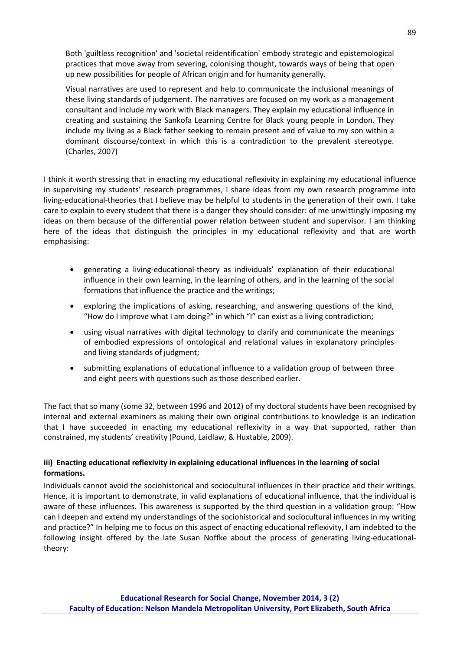Both 'guiltless recognition' and 'societal reidentification' embody strategic and epistemological practices that move away from severing, colonising thought, towards ways of being that open up new possibilities for people of African origin and for humanity generally.

Visual narratives are used to represent and help to communicate the inclusional meanings of these living standards of judgement. The narratives are focused on my work as a management consultant and include my work with Black managers. They explain my educational influence in creating and sustaining the Sankofa Learning Centre for Black young people in London. They include my living as a Black father seeking to remain present and of value to my son within a dominant discourse/context in which this is a contradiction to the prevalent stereotype. (Charles, 2007)

I think it worth stressing that in enacting my educational reflexivity in explaining my educational influence in supervising my students' research programmes, I share ideas from my own research programme into living-educational-theories that I believe may be helpful to students in the generation of their own. I take care to explain to every student that there is a danger they should consider: of me unwittingly imposing my ideas on them because of the differential power relation between student and supervisor. I am thinking here of the ideas that distinguish the principles in my educational reflexivity and that are worth emphasising:

- generating a living-educational-theory as individuals' explanation of their educational influence in their own learning, in the learning of others, and in the learning of the social formations that influence the practice and the writings;
- exploring the implications of asking, researching, and answering questions of the kind, "How do I improve what I am doing?" in which "I" can exist as a living contradiction;
- using visual narratives with digital technology to clarify and communicate the meanings of embodied expressions of ontological and relational values in explanatory principles and living standards of judgment;
- submitting explanations of educational influence to a validation group of between three and eight peers with questions such as those described earlier.

The fact that so many (some 32, between 1996 and 2012) of my doctoral students have been recognised by internal and external examiners as making their own original contributions to knowledge is an indication that I have succeeded in enacting my educational reflexivity in a way that supported, rather than constrained, my students' creativity (Pound, Laidlaw, & Huxtable, 2009).

#### **iii) Enacting educational reflexivity in explaining educational influences in the learning of social formations.**

Individuals cannot avoid the sociohistorical and sociocultural influences in their practice and their writings. Hence, it is important to demonstrate, in valid explanations of educational influence, that the individual is aware of these influences. This awareness is supported by the third question in a validation group: "How can I deepen and extend my understandings of the sociohistorical and sociocultural influences in my writing and practice?" In helping me to focus on this aspect of enacting educational reflexivity, I am indebted to the following insight offered by the late Susan Noffke about the process of generating living-educationaltheory: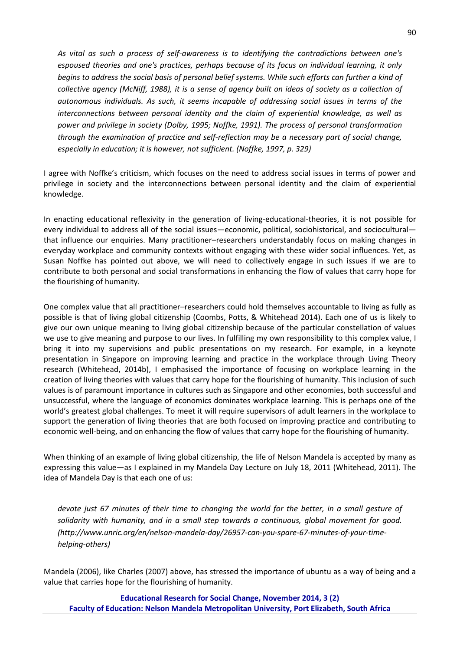*As vital as such a process of self-awareness is to identifying the contradictions between one's espoused theories and one's practices, perhaps because of its focus on individual learning, it only begins to address the social basis of personal belief systems. While such efforts can further a kind of collective agency (McNiff, 1988), it is a sense of agency built on ideas of society as a collection of autonomous individuals. As such, it seems incapable of addressing social issues in terms of the interconnections between personal identity and the claim of experiential knowledge, as well as power and privilege in society (Dolby, 1995; Noffke, 1991). The process of personal transformation through the examination of practice and self-reflection may be a necessary part of social change, especially in education; it is however, not sufficient. (Noffke, 1997, p. 329)*

I agree with Noffke's criticism, which focuses on the need to address social issues in terms of power and privilege in society and the interconnections between personal identity and the claim of experiential knowledge.

In enacting educational reflexivity in the generation of living-educational-theories, it is not possible for every individual to address all of the social issues—economic, political, sociohistorical, and sociocultural that influence our enquiries. Many practitioner–researchers understandably focus on making changes in everyday workplace and community contexts without engaging with these wider social influences. Yet, as Susan Noffke has pointed out above, we will need to collectively engage in such issues if we are to contribute to both personal and social transformations in enhancing the flow of values that carry hope for the flourishing of humanity.

One complex value that all practitioner–researchers could hold themselves accountable to living as fully as possible is that of living global citizenship (Coombs, Potts, & Whitehead 2014). Each one of us is likely to give our own unique meaning to living global citizenship because of the particular constellation of values we use to give meaning and purpose to our lives. In fulfilling my own responsibility to this complex value, I bring it into my supervisions and public presentations on my research. For example, in a keynote presentation in Singapore on improving learning and practice in the workplace through Living Theory research (Whitehead, 2014b), I emphasised the importance of focusing on workplace learning in the creation of living theories with values that carry hope for the flourishing of humanity. This inclusion of such values is of paramount importance in cultures such as Singapore and other economies, both successful and unsuccessful, where the language of economics dominates workplace learning. This is perhaps one of the world's greatest global challenges. To meet it will require supervisors of adult learners in the workplace to support the generation of living theories that are both focused on improving practice and contributing to economic well-being, and on enhancing the flow of values that carry hope for the flourishing of humanity.

When thinking of an example of living global citizenship, the life of Nelson Mandela is accepted by many as expressing this value—as I explained in my Mandela Day Lecture on July 18, 2011 (Whitehead, 2011). The idea of Mandela Day is that each one of us:

*devote just 67 minutes of their time to changing the world for the better, in a small gesture of solidarity with humanity, and in a small step towards a continuous, global movement for good. (http://www.unric.org/en/nelson-mandela-day/26957-can-you-spare-67-minutes-of-your-timehelping-others)*

Mandela (2006), like Charles (2007) above, has stressed the importance of ubuntu as a way of being and a value that carries hope for the flourishing of humanity.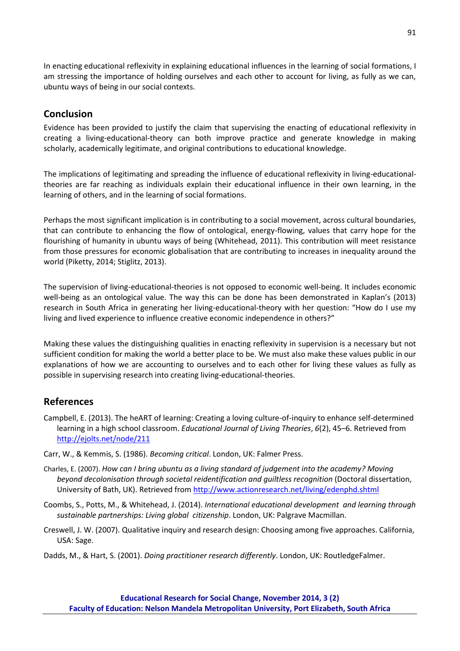In enacting educational reflexivity in explaining educational influences in the learning of social formations, I am stressing the importance of holding ourselves and each other to account for living, as fully as we can, ubuntu ways of being in our social contexts.

## **Conclusion**

Evidence has been provided to justify the claim that supervising the enacting of educational reflexivity in creating a living-educational-theory can both improve practice and generate knowledge in making scholarly, academically legitimate, and original contributions to educational knowledge.

The implications of legitimating and spreading the influence of educational reflexivity in living-educationaltheories are far reaching as individuals explain their educational influence in their own learning, in the learning of others, and in the learning of social formations.

Perhaps the most significant implication is in contributing to a social movement, across cultural boundaries, that can contribute to enhancing the flow of ontological, energy-flowing, values that carry hope for the flourishing of humanity in ubuntu ways of being (Whitehead, 2011). This contribution will meet resistance from those pressures for economic globalisation that are contributing to increases in inequality around the world (Piketty, 2014; Stiglitz, 2013).

The supervision of living-educational-theories is not opposed to economic well-being. It includes economic well-being as an ontological value. The way this can be done has been demonstrated in Kaplan's (2013) research in South Africa in generating her living-educational-theory with her question: "How do I use my living and lived experience to influence creative economic independence in others?"

Making these values the distinguishing qualities in enacting reflexivity in supervision is a necessary but not sufficient condition for making the world a better place to be. We must also make these values public in our explanations of how we are accounting to ourselves and to each other for living these values as fully as possible in supervising research into creating living-educational-theories.

# **References**

- Campbell, E. (2013). [The heART of learning: Creating a loving culture-of-inquiry to enhance self-determined](http://ejolts.net/node/214)  [learning in a high school classroom.](http://ejolts.net/node/214) *Educational Journal of Living Theories*, *6*(2), 45–6. Retrieved from <http://ejolts.net/node/211>
- Carr, W., & Kemmis, S. (1986). *Becoming critical*. London, UK: Falmer Press.
- Charles, E. (2007). *How can I bring ubuntu as a living standard of judgement into the academy? Moving beyond decolonisation through societal reidentification and guiltless recognition* (Doctoral dissertation, University of Bath, UK). Retrieved from<http://www.actionresearch.net/living/edenphd.shtml>
- Coombs, S., Potts, M., & Whitehead, J. (2014). *International educational development and learning through sustainable partnerships: Living global citizenship*. London, UK: Palgrave Macmillan.
- Creswell, J. W. (2007). Qualitative inquiry and research design: Choosing among five approaches. California, USA: Sage.
- Dadds, M., & Hart, S. (2001). *Doing practitioner research differently*. London, UK: RoutledgeFalmer.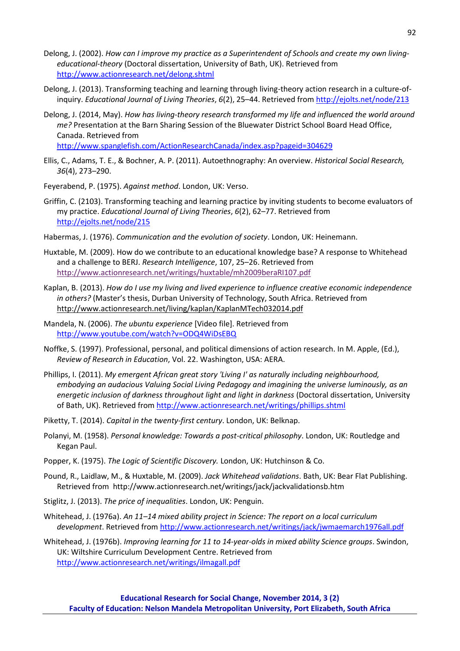- Delong, J. (2002). *How can I improve my practice as a Superintendent of Schools and create my own livingeducational-theory* (Doctoral dissertation, University of Bath, UK). Retrieved from [http://www.actionresearch.net/delong.shtml](http://www.google.com/url?q=http%3A%2F%2Fwww.actionresearch.net%2Fdelong.shtml&sa=D&sntz=1&usg=AFQjCNHOowQyhPWLu1AIboZBucWvkyh-9Q)
- Delong, J. (2013)[. Transforming teaching and learning through living-theory action research in a culture-of](http://ejolts.net/node/213)[inquiry.](http://ejolts.net/node/213) *Educational Journal of Living Theories*, *6*(2), 25–44. Retrieved from<http://ejolts.net/node/213>
- Delong, J. (2014, May). *How has living-theory research transformed my life and influenced the world around me?* Presentation at the Barn Sharing Session of the Bluewater District School Board Head Office, Canada. Retrieved from <http://www.spanglefish.com/ActionResearchCanada/index.asp?pageid=304629>

Ellis, C., Adams, T. E., & Bochner, A. P. (2011). Autoethnography: An overview. *Historical Social Research,* 

*36*(4), 273–290.

Feyerabend, P. (1975). *Against method*. London, UK: Verso.

- Griffin, C. (2103)[. Transforming teaching and learning practice by inviting students to become evaluators of](http://ejolts.net/node/215) [my practice.](http://ejolts.net/node/215) *Educational Journal of Living Theories*, *6*(2), 62–77. Retrieved from <http://ejolts.net/node/215>
- Habermas, J. (1976). *Communication and the evolution of society*. London, UK: Heinemann.
- Huxtable, M. (2009). How do we contribute to an educational knowledge base? A response to Whitehead and a challenge to BERJ. *Research Intelligence*, 107, 25–26. Retrieved from <http://www.actionresearch.net/writings/huxtable/mh2009beraRI107.pdf>
- Kaplan, B. (2013). *[How do I use my living and lived experience to influence](http://www.actionresearch.net/living/kaplan/KaplanMTech032014.pdf) creative economic independence [in others?](http://www.actionresearch.net/living/kaplan/KaplanMTech032014.pdf)* (Master's thesis, Durban University of Technology, South Africa. Retrieved from <http://www.actionresearch.net/living/kaplan/KaplanMTech032014.pdf>
- Mandela, N. (2006). *The ubuntu experience* [Video file]. Retrieved from <http://www.youtube.com/watch?v=ODQ4WiDsEBQ>
- Noffke, S. (1997). Professional, personal, and political dimensions of action research. In M. Apple, (Ed.), *Review of Research in Education*, Vol. 22. Washington, USA: AERA.
- Phillips, I. (2011). *My emergent African great story 'Living I' as naturally including neighbourhood, embodying an audacious Valuing Social Living Pedagogy and imagining the universe luminously, as an energetic inclusion of darkness throughout light and light in darkness* (Doctoral dissertation, University of Bath, UK). Retrieved fro[m http://www.actionresearch.net/writings/phillips.shtml](http://www.actionresearch.net/writings/phillips.shtml)
- Piketty, T. (2014). *Capital in the twenty-first century*. London, UK: Belknap.
- Polanyi, M. (1958). *Personal knowledge: Towards a post-critical philosophy*. London, UK: Routledge and Kegan Paul.
- Popper, K. (1975). *The Logic of Scientific Discovery.* London, UK: Hutchinson & Co.
- Pound, R., Laidlaw, M., & Huxtable, M. (2009). *Jack Whitehead validations*. Bath, UK: Bear Flat Publishing. Retrieved from http://www.actionresearch.net/writings/jack/jackvalidationsb.htm
- Stiglitz, J. (2013). *The price of inequalities*. London, UK: Penguin.
- Whitehead, J. (1976a). *An 11–14 mixed ability project in Science: The report on a local curriculum development*. Retrieved from<http://www.actionresearch.net/writings/jack/jwmaemarch1976all.pdf>

Whitehead, J. (1976b). *Improving learning for 11 to 14-year-olds in mixed ability Science groups*. Swindon, UK: Wiltshire Curriculum Development Centre. Retrieved from <http://www.actionresearch.net/writings/ilmagall.pdf>